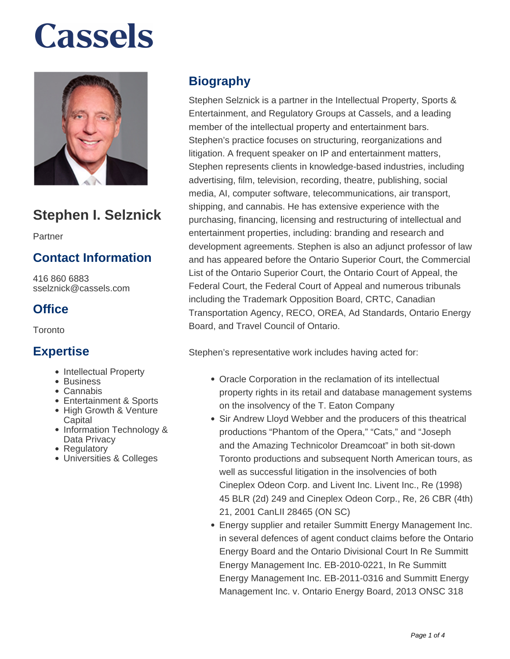

# **Stephen I. Selznick**

Partner

#### **Contact Information**

416 860 6883 sselznick@cassels.com

#### **Office**

**Toronto** 

#### **Expertise**

- Intellectual Property
- Business
- Cannabis
- Entertainment & Sports
- High Growth & Venture **Capital**
- Information Technology & Data Privacy
- Regulatory
- Universities & Colleges

### **Biography**

Stephen Selznick is a partner in the Intellectual Property, Sports & Entertainment, and Regulatory Groups at Cassels, and a leading member of the intellectual property and entertainment bars. Stephen's practice focuses on structuring, reorganizations and litigation. A frequent speaker on IP and entertainment matters, Stephen represents clients in knowledge-based industries, including advertising, film, television, recording, theatre, publishing, social media, AI, computer software, telecommunications, air transport, shipping, and cannabis. He has extensive experience with the purchasing, financing, licensing and restructuring of intellectual and entertainment properties, including: branding and research and development agreements. Stephen is also an adjunct professor of law and has appeared before the Ontario Superior Court, the Commercial List of the Ontario Superior Court, the Ontario Court of Appeal, the Federal Court, the Federal Court of Appeal and numerous tribunals including the Trademark Opposition Board, CRTC, Canadian Transportation Agency, RECO, OREA, Ad Standards, Ontario Energy Board, and Travel Council of Ontario.

Stephen's representative work includes having acted for:

- Oracle Corporation in the reclamation of its intellectual property rights in its retail and database management systems on the insolvency of the T. Eaton Company
- Sir Andrew Lloyd Webber and the producers of this theatrical productions "Phantom of the Opera," "Cats," and "Joseph and the Amazing Technicolor Dreamcoat" in both sit-down Toronto productions and subsequent North American tours, as well as successful litigation in the insolvencies of both Cineplex Odeon Corp. and Livent Inc. Livent Inc., Re (1998) 45 BLR (2d) 249 and Cineplex Odeon Corp., Re, 26 CBR (4th) 21, 2001 CanLII 28465 (ON SC)
- Energy supplier and retailer Summitt Energy Management Inc. in several defences of agent conduct claims before the Ontario Energy Board and the Ontario Divisional Court In Re Summitt Energy Management Inc. EB-2010-0221, In Re Summitt Energy Management Inc. EB-2011-0316 and Summitt Energy Management Inc. v. Ontario Energy Board, 2013 ONSC 318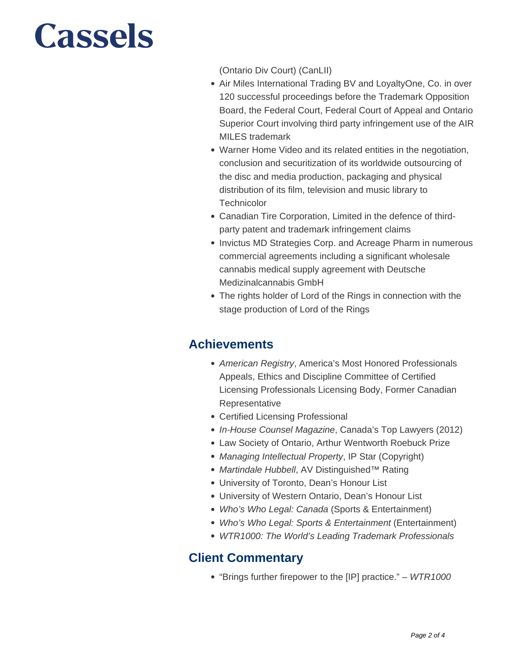(Ontario Div Court) (CanLII)

- Air Miles International Trading BV and LoyaltyOne, Co. in over 120 successful proceedings before the Trademark Opposition Board, the Federal Court, Federal Court of Appeal and Ontario Superior Court involving third party infringement use of the AIR MILES trademark
- Warner Home Video and its related entities in the negotiation, conclusion and securitization of its worldwide outsourcing of the disc and media production, packaging and physical distribution of its film, television and music library to **Technicolor**
- Canadian Tire Corporation, Limited in the defence of thirdparty patent and trademark infringement claims
- Invictus MD Strategies Corp. and Acreage Pharm in numerous commercial agreements including a significant wholesale cannabis medical supply agreement with Deutsche Medizinalcannabis GmbH
- The rights holder of Lord of the Rings in connection with the stage production of Lord of the Rings

## **Achievements**

- American Registry, America's Most Honored Professionals Appeals, Ethics and Discipline Committee of Certified Licensing Professionals Licensing Body, Former Canadian Representative
- Certified Licensing Professional
- In-House Counsel Magazine, Canada's Top Lawyers (2012)
- Law Society of Ontario, Arthur Wentworth Roebuck Prize
- Managing Intellectual Property, IP Star (Copyright)
- Martindale Hubbell, AV Distinguished™ Rating
- University of Toronto, Dean's Honour List
- University of Western Ontario, Dean's Honour List
- Who's Who Legal: Canada (Sports & Entertainment)
- Who's Who Legal: Sports & Entertainment (Entertainment)
- WTR1000: The World's Leading Trademark Professionals

#### **Client Commentary**

• "Brings further firepower to the [IP] practice." – WTR1000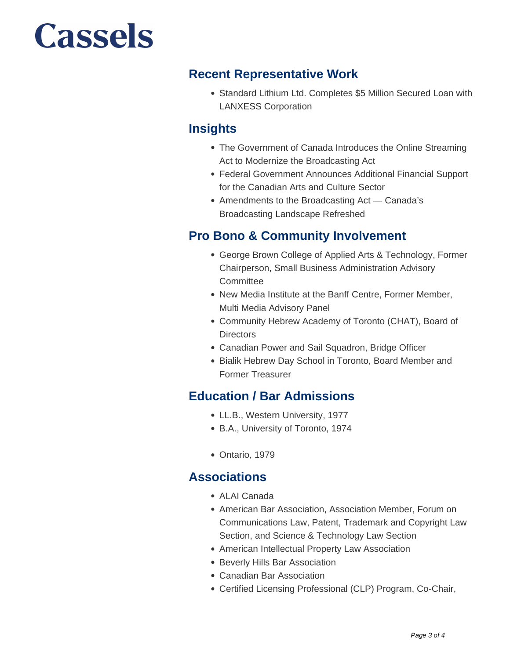#### **Recent Representative Work**

Standard Lithium Ltd. Completes \$5 Million Secured Loan with LANXESS Corporation

### **Insights**

- The Government of Canada Introduces the Online Streaming Act to Modernize the Broadcasting Act
- Federal Government Announces Additional Financial Support for the Canadian Arts and Culture Sector
- Amendments to the Broadcasting Act Canada's Broadcasting Landscape Refreshed

### **Pro Bono & Community Involvement**

- George Brown College of Applied Arts & Technology, Former Chairperson, Small Business Administration Advisory **Committee**
- New Media Institute at the Banff Centre, Former Member, Multi Media Advisory Panel
- Community Hebrew Academy of Toronto (CHAT), Board of **Directors**
- Canadian Power and Sail Squadron, Bridge Officer
- Bialik Hebrew Day School in Toronto, Board Member and Former Treasurer

### **Education / Bar Admissions**

- LL.B., Western University, 1977
- B.A., University of Toronto, 1974
- Ontario, 1979

#### **Associations**

- ALAI Canada
- American Bar Association, Association Member, Forum on Communications Law, Patent, Trademark and Copyright Law Section, and Science & Technology Law Section
- American Intellectual Property Law Association
- Beverly Hills Bar Association
- Canadian Bar Association
- Certified Licensing Professional (CLP) Program, Co-Chair,